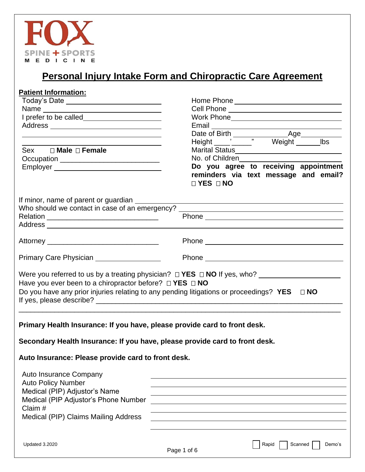

# **Personal Injury Intake Form and Chiropractic Care Agreement**

| <b>Patient Information:</b>                                                                                                                                                                                    |                                                                                                                                                                                                                                      |
|----------------------------------------------------------------------------------------------------------------------------------------------------------------------------------------------------------------|--------------------------------------------------------------------------------------------------------------------------------------------------------------------------------------------------------------------------------------|
| Today's Date ______________________________                                                                                                                                                                    |                                                                                                                                                                                                                                      |
|                                                                                                                                                                                                                | Cell Phone ________________________________                                                                                                                                                                                          |
|                                                                                                                                                                                                                |                                                                                                                                                                                                                                      |
|                                                                                                                                                                                                                | Email <b>Exercise Contract Contract Contract Contract Contract Contract Contract Contract Contract Contract Contract Contract Contract Contract Contract Contract Contract Contract Contract Contract Contract Contract Contract</b> |
| the contract of the contract of the contract of the contract of the contract of the contract of the                                                                                                            |                                                                                                                                                                                                                                      |
|                                                                                                                                                                                                                |                                                                                                                                                                                                                                      |
| Sex <b>I</b> Male <b>I</b> Female                                                                                                                                                                              | Marital Status________________________________                                                                                                                                                                                       |
| Occupation ______________________________                                                                                                                                                                      | No. of Children                                                                                                                                                                                                                      |
|                                                                                                                                                                                                                | Do you agree to receiving appointment                                                                                                                                                                                                |
|                                                                                                                                                                                                                | reminders via text message and email?                                                                                                                                                                                                |
|                                                                                                                                                                                                                | $\Box$ YES $\Box$ NO                                                                                                                                                                                                                 |
| If minor, name of parent or guardian _________                                                                                                                                                                 |                                                                                                                                                                                                                                      |
|                                                                                                                                                                                                                | Who should we contact in case of an emergency? _________________________________                                                                                                                                                     |
| Relation ___________________________________                                                                                                                                                                   |                                                                                                                                                                                                                                      |
|                                                                                                                                                                                                                |                                                                                                                                                                                                                                      |
|                                                                                                                                                                                                                |                                                                                                                                                                                                                                      |
|                                                                                                                                                                                                                |                                                                                                                                                                                                                                      |
|                                                                                                                                                                                                                |                                                                                                                                                                                                                                      |
| Primary Care Physician __________________                                                                                                                                                                      |                                                                                                                                                                                                                                      |
| Have you ever been to a chiropractor before? $\Box$ YES $\Box$ NO                                                                                                                                              | Were you referred to us by a treating physician? $\Box$ YES $\Box$ NO If yes, who? _____________________<br>Do you have any prior injuries relating to any pending litigations or proceedings? $YES \square NO$                      |
| Primary Health Insurance: If you have, please provide card to front desk.<br>Secondary Health Insurance: If you have, please provide card to front desk.<br>Auto Insurance: Please provide card to front desk. |                                                                                                                                                                                                                                      |
| Auto Insurance Company                                                                                                                                                                                         |                                                                                                                                                                                                                                      |
| <b>Auto Policy Number</b>                                                                                                                                                                                      |                                                                                                                                                                                                                                      |
| Medical (PIP) Adjustor's Name                                                                                                                                                                                  |                                                                                                                                                                                                                                      |
| Medical (PIP Adjustor's Phone Number                                                                                                                                                                           |                                                                                                                                                                                                                                      |
| Claim #                                                                                                                                                                                                        |                                                                                                                                                                                                                                      |
| Medical (PIP) Claims Mailing Address                                                                                                                                                                           |                                                                                                                                                                                                                                      |
|                                                                                                                                                                                                                |                                                                                                                                                                                                                                      |
|                                                                                                                                                                                                                |                                                                                                                                                                                                                                      |
| Updated 3.2020                                                                                                                                                                                                 | Rapid<br>Scanned<br>Demo's                                                                                                                                                                                                           |
|                                                                                                                                                                                                                | Page 1 of 6                                                                                                                                                                                                                          |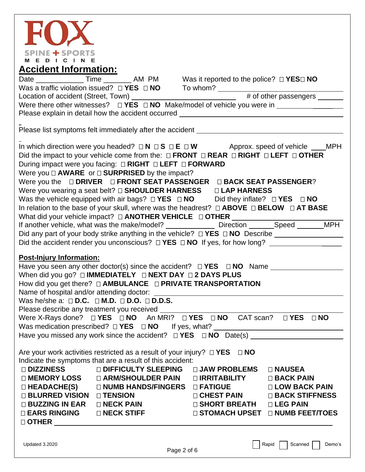

|                                                                                                                                                        | Date _______________Time __________ AM PM Was it reported to the police? □ YES□ NO<br>Were there other witnesses? $\Box$ YES $\Box$ NO Make/model of vehicle you were in ____________________<br>Please explain in detail how the accident occurred ______________________________                                                                                                                                                                                                                                                                                                                                                                                                                                                                                                                                                                                       |                                                                                                                                       |                                                                                                              |
|--------------------------------------------------------------------------------------------------------------------------------------------------------|--------------------------------------------------------------------------------------------------------------------------------------------------------------------------------------------------------------------------------------------------------------------------------------------------------------------------------------------------------------------------------------------------------------------------------------------------------------------------------------------------------------------------------------------------------------------------------------------------------------------------------------------------------------------------------------------------------------------------------------------------------------------------------------------------------------------------------------------------------------------------|---------------------------------------------------------------------------------------------------------------------------------------|--------------------------------------------------------------------------------------------------------------|
|                                                                                                                                                        | Please list symptoms felt immediately after the accident ________________________                                                                                                                                                                                                                                                                                                                                                                                                                                                                                                                                                                                                                                                                                                                                                                                        |                                                                                                                                       |                                                                                                              |
|                                                                                                                                                        | In which direction were you headed? $\Box N \Box S \Box E \Box W$ Approx. speed of vehicle ___MPH<br>Did the impact to your vehicle come from the: $\Box$ FRONT $\Box$ REAR $\Box$ RIGHT $\Box$ LEFT $\Box$ OTHER<br>During impact were you facing: □ RIGHT □ LEFT □ FORWARD<br>Were you $\Box$ <b>AWARE</b> or $\Box$ <b>SURPRISED</b> by the impact?<br>Were you the $\Box$ DRIVER $\Box$ FRONT SEAT PASSENGER $\Box$ BACK SEAT PASSENGER?<br>Was the vehicle equipped with air bags? $\Box$ YES $\Box$ NO Did they inflate? $\Box$ YES $\Box$ NO<br>In relation to the base of your skull, where was the headrest? $\Box$ ABOVE $\Box$ BELOW $\Box$ AT BASE<br>If another vehicle, what was the make/model? ________________ Direction _______Speed _______MPH<br>Did any part of your body strike anything in the vehicle? □ YES □ NO Describe _____________________ |                                                                                                                                       |                                                                                                              |
| <b>Post-Injury Information:</b>                                                                                                                        | Have you seen any other doctor(s) since the accident? $\Box$ <b>YES</b> $\Box$ <b>NO</b> Name $\Box$<br>Was he/she a: $\square$ D.C. $\square$ M.D. $\square$ D.O. $\square$ D.D.S.                                                                                                                                                                                                                                                                                                                                                                                                                                                                                                                                                                                                                                                                                      |                                                                                                                                       |                                                                                                              |
|                                                                                                                                                        | Please describe any treatment you received<br>Were X-Rays done? $\square$ <b>YES</b> $\square$ <b>NO</b> An MRI? $\square$ <b>YES</b> $\square$ <b>NO</b> CAT scan? $\square$ <b>YES</b> $\square$ <b>NO</b>                                                                                                                                                                                                                                                                                                                                                                                                                                                                                                                                                                                                                                                             |                                                                                                                                       |                                                                                                              |
| <b>□ DIZZINESS</b><br>□ MEMORY LOSS<br>$\Box$ HEADACHE(S)<br><b>□ BLURRED VISION</b><br>$\Box$ BUZZING IN EAR<br><b>□ EARS RINGING</b><br>$\Box$ OTHER | Are your work activities restricted as a result of your injury? $\Box$ YES<br>Indicate the symptoms that are a result of this accident:<br><b>DIFFICULTY SLEEPING</b><br>□ ARM/SHOULDER PAIN<br><b>D NUMB HANDS/FINGERS</b><br>□ TENSION<br>$\sqcap$ NECK PAIN<br>□ NECK STIFF                                                                                                                                                                                                                                                                                                                                                                                                                                                                                                                                                                                           | $\Box$ NO<br>□ JAW PROBLEMS<br>□ <b>IRRITABILITY</b><br>□ FATIGUE<br>□ CHEST PAIN<br>$\square$ SHORT BREATH<br><b>□ STOMACH UPSET</b> | □ NAUSEA<br>□ BACK PAIN<br>□ LOW BACK PAIN<br><b>□ BACK STIFFNESS</b><br>$\Box$ LEG PAIN<br>□ NUMB FEET/TOES |
| Updated 3.2020                                                                                                                                         |                                                                                                                                                                                                                                                                                                                                                                                                                                                                                                                                                                                                                                                                                                                                                                                                                                                                          | Dao 2 of 6                                                                                                                            | Rapid<br>Scanned<br>Demo's                                                                                   |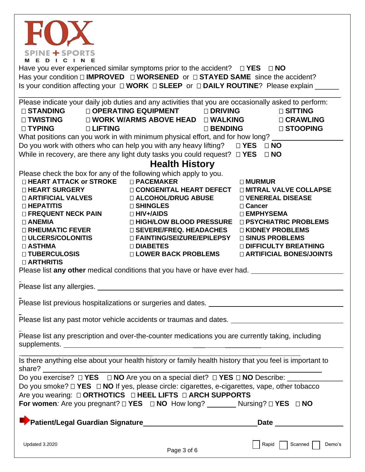| <b>SPINE + SPORTS</b><br>EDICIN                                                                                                                                                                                                                                                                                            |                                                                                                                                                                                                                                                                                                                                                                                                                                                                                          |                                                                                                                                                                                                                 |
|----------------------------------------------------------------------------------------------------------------------------------------------------------------------------------------------------------------------------------------------------------------------------------------------------------------------------|------------------------------------------------------------------------------------------------------------------------------------------------------------------------------------------------------------------------------------------------------------------------------------------------------------------------------------------------------------------------------------------------------------------------------------------------------------------------------------------|-----------------------------------------------------------------------------------------------------------------------------------------------------------------------------------------------------------------|
|                                                                                                                                                                                                                                                                                                                            | Have you ever experienced similar symptoms prior to the accident? $\square$ <b>YES</b> $\square$ <b>NO</b>                                                                                                                                                                                                                                                                                                                                                                               |                                                                                                                                                                                                                 |
|                                                                                                                                                                                                                                                                                                                            | Has your condition $\square$ IMPROVED $\square$ WORSENED or $\square$ STAYED SAME since the accident?<br>Is your condition affecting your $\Box$ WORK $\Box$ SLEEP or $\Box$ DAILY ROUTINE? Please explain ___                                                                                                                                                                                                                                                                           |                                                                                                                                                                                                                 |
| $\square$ STANDING<br>$\square$ TWISTING<br>□ TYPING<br><b>D LIFTING</b>                                                                                                                                                                                                                                                   | Please indicate your daily job duties and any activities that you are occasionally asked to perform:<br>□ OPERATING EQUIPMENT<br>□ DRIVING<br>$\square$ WORK W/ARMS ABOVE HEAD $\square$ WALKING<br>□ BENDING<br>What positions can you work in with minimum physical effort, and for how long?<br>Do you work with others who can help you with any heavy lifting? $\square$ <b>YES</b> $\square$ <b>NO</b>                                                                             | <b>□ SITTING</b><br>□ CRAWLING<br><b>□ STOOPING</b>                                                                                                                                                             |
|                                                                                                                                                                                                                                                                                                                            | While in recovery, are there any light duty tasks you could request? $\Box$ YES $\Box$ NO<br><b>Health History</b>                                                                                                                                                                                                                                                                                                                                                                       |                                                                                                                                                                                                                 |
| Please check the box for any of the following which apply to you.<br>$\square$ HEART ATTACK or STROKE<br>□ HEART SURGERY<br><b>D ARTIFICIAL VALVES</b><br>□ HEPATITIS<br>□ FREQUENT NECK PAIN<br>$\Box$ ANEMIA<br><b>D RHEUMATIC FEVER</b><br>□ ULCERS/COLONITIS<br>□ ASTHMA<br><b>□ TUBERCULOSIS</b><br><b>DARTHRITIS</b> | □ PACEMAKER<br><b>O CONGENITAL HEART DEFECT</b><br>□ ALCOHOL/DRUG ABUSE<br>□ SHINGLES<br>$\Box$ HIV+/AIDS<br>□ HIGH/LOW BLOOD PRESSURE □ PSYCHIATRIC PROBLEMS<br>$\square$ SEVERE/FREQ. HEADACHES<br>□ FAINTING/SEIZURE/EPILEPSY<br>□ DIABETES<br><b>□ LOWER BACK PROBLEMS</b><br>Please list any other medical conditions that you have or have ever had.                                                                                                                               | □ MURMUR<br><b>DIMITRAL VALVE COLLAPSE</b><br><b>DI VENEREAL DISEASE</b><br>□ Cancer<br>□ EMPHYSEMA<br>□ KIDNEY PROBLEMS<br>□ SINUS PROBLEMS<br><b>DIFFICULTY BREATHING</b><br><b>DIARTIFICIAL BONES/JOINTS</b> |
|                                                                                                                                                                                                                                                                                                                            |                                                                                                                                                                                                                                                                                                                                                                                                                                                                                          |                                                                                                                                                                                                                 |
|                                                                                                                                                                                                                                                                                                                            |                                                                                                                                                                                                                                                                                                                                                                                                                                                                                          |                                                                                                                                                                                                                 |
|                                                                                                                                                                                                                                                                                                                            | Please list any past motor vehicle accidents or traumas and dates. _________________________________                                                                                                                                                                                                                                                                                                                                                                                     |                                                                                                                                                                                                                 |
|                                                                                                                                                                                                                                                                                                                            | Please list any prescription and over-the-counter medications you are currently taking, including                                                                                                                                                                                                                                                                                                                                                                                        |                                                                                                                                                                                                                 |
|                                                                                                                                                                                                                                                                                                                            | Is there anything else about your health history or family health history that you feel is important to<br>Do you exercise? □ YES □ NO Are you on a special diet? □ YES □ NO Describe: _______________________<br>Do you smoke? $\Box$ YES $\Box$ NO If yes, please circle: cigarettes, e-cigarettes, vape, other tobacco<br>Are you wearing: $\Box$ ORTHOTICS $\Box$ HEEL LIFTS $\Box$ ARCH SUPPORTS<br>For women: Are you pregnant? □ YES □ NO How long? _________ Nursing? □ YES □ NO |                                                                                                                                                                                                                 |
|                                                                                                                                                                                                                                                                                                                            |                                                                                                                                                                                                                                                                                                                                                                                                                                                                                          | Date and the state of the state of the state of the state of the state of the state of the state of the state                                                                                                   |
| Updated 3.2020                                                                                                                                                                                                                                                                                                             | Page 3 of 6                                                                                                                                                                                                                                                                                                                                                                                                                                                                              | Demo's<br>Rapid    <br>Scanned                                                                                                                                                                                  |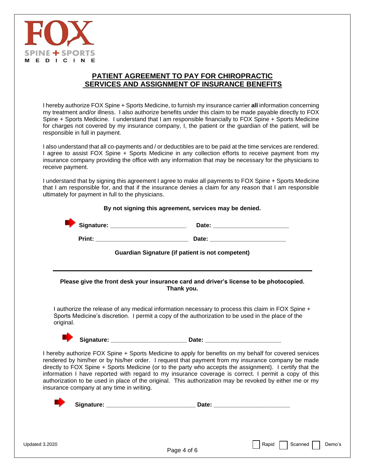

#### **PATIENT AGREEMENT TO PAY FOR CHIROPRACTIC SERVICES AND ASSIGNMENT OF INSURANCE BENEFITS**

I hereby authorize FOX Spine + Sports Medicine, to furnish my insurance carrier **all** information concerning my treatment and/or illness. I also authorize benefits under this claim to be made payable directly to FOX Spine + Sports Medicine. I understand that I am responsible financially to FOX Spine + Sports Medicine for charges not covered by my insurance company, I, the patient or the guardian of the patient, will be responsible in full in payment.

I also understand that all co-payments and / or deductibles are to be paid at the time services are rendered. I agree to assist FOX Spine + Sports Medicine in any collection efforts to receive payment from my insurance company providing the office with any information that may be necessary for the physicians to receive payment.

I understand that by signing this agreement I agree to make all payments to FOX Spine + Sports Medicine that I am responsible for, and that if the insurance denies a claim for any reason that I am responsible ultimately for payment in full to the physicians.

|                                           | <b>Guardian Signature (if patient is not competent)</b>                                                                                                                                                                                                                                                                                                                                                                                                                                                                                    |
|-------------------------------------------|--------------------------------------------------------------------------------------------------------------------------------------------------------------------------------------------------------------------------------------------------------------------------------------------------------------------------------------------------------------------------------------------------------------------------------------------------------------------------------------------------------------------------------------------|
|                                           | Please give the front desk your insurance card and driver's license to be photocopied.<br>Thank you.                                                                                                                                                                                                                                                                                                                                                                                                                                       |
| original.                                 | I authorize the release of any medical information necessary to process this claim in FOX Spine +<br>Sports Medicine's discretion. I permit a copy of the authorization to be used in the place of the                                                                                                                                                                                                                                                                                                                                     |
|                                           |                                                                                                                                                                                                                                                                                                                                                                                                                                                                                                                                            |
| insurance company at any time in writing. | I hereby authorize FOX Spine + Sports Medicine to apply for benefits on my behalf for covered services<br>rendered by him/her or by his/her order. I request that payment from my insurance company be made<br>directly to FOX Spine + Sports Medicine (or to the party who accepts the assignment). I certify that the<br>information I have reported with regard to my insurance coverage is correct. I permit a copy of this<br>authorization to be used in place of the original. This authorization may be revoked by either me or my |
|                                           |                                                                                                                                                                                                                                                                                                                                                                                                                                                                                                                                            |
|                                           |                                                                                                                                                                                                                                                                                                                                                                                                                                                                                                                                            |

Page 4 of 6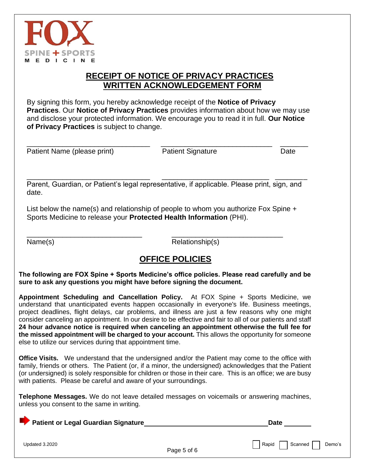

### **RECEIPT OF NOTICE OF PRIVACY PRACTICES WRITTEN ACKNOWLEDGEMENT FORM**

By signing this form, you hereby acknowledge receipt of the **Notice of Privacy Practices**. Our **Notice of Privacy Practices** provides information about how we may use and disclose your protected information. We encourage you to read it in full. **Our Notice of Privacy Practices** is subject to change.

| Patient Name (please print) |  |  |
|-----------------------------|--|--|
|-----------------------------|--|--|

\_\_\_\_\_\_\_\_\_\_\_\_\_\_\_\_\_\_\_\_\_\_\_\_\_\_\_\_\_\_\_ \_\_\_\_\_\_\_\_\_\_\_\_\_\_\_\_\_\_\_\_\_\_\_\_\_\_\_\_ \_\_\_\_\_\_\_ Patient Signature **Date** 

Parent, Guardian, or Patient's legal representative, if applicable. Please print, sign, and date.

\_\_\_\_\_\_\_\_\_\_\_\_\_\_\_\_\_\_\_\_\_\_\_\_\_\_\_\_\_\_\_ \_\_\_\_\_\_\_\_\_\_\_\_\_\_\_\_\_\_\_\_\_\_\_\_\_\_\_ \_\_\_\_\_\_\_\_

List below the name(s) and relationship of people to whom you authorize Fox Spine + Sports Medicine to release your **Protected Health Information** (PHI).

\_\_\_\_\_\_\_\_\_\_\_\_\_\_\_\_\_\_\_\_\_\_\_\_\_\_\_\_\_ \_\_\_\_\_\_\_\_\_\_\_\_\_\_\_\_\_\_\_\_\_\_\_\_\_\_\_\_

Name(s) Relationship(s)

## **OFFICE POLICIES**

**The following are FOX Spine + Sports Medicine's office policies. Please read carefully and be sure to ask any questions you might have before signing the document.**

**Appointment Scheduling and Cancellation Policy.** At FOX Spine + Sports Medicine, we understand that unanticipated events happen occasionally in everyone's life. Business meetings, project deadlines, flight delays, car problems, and illness are just a few reasons why one might consider canceling an appointment. In our desire to be effective and fair to all of our patients and staff **24 hour advance notice is required when canceling an appointment otherwise the full fee for the missed appointment will be charged to your account.** This allows the opportunity for someone else to utilize our services during that appointment time.

**Office Visits.** We understand that the undersigned and/or the Patient may come to the office with family, friends or others. The Patient (or, if a minor, the undersigned) acknowledges that the Patient (or undersigned) is solely responsible for children or those in their care. This is an office; we are busy with patients. Please be careful and aware of your surroundings.

**Telephone Messages.** We do not leave detailed messages on voicemails or answering machines, unless you consent to the same in writing.

**Patient or Legal Guardian Signature Community Community Community Community Community Community Community Community** 

Updated 3.2020Rapid Scanned Demo's